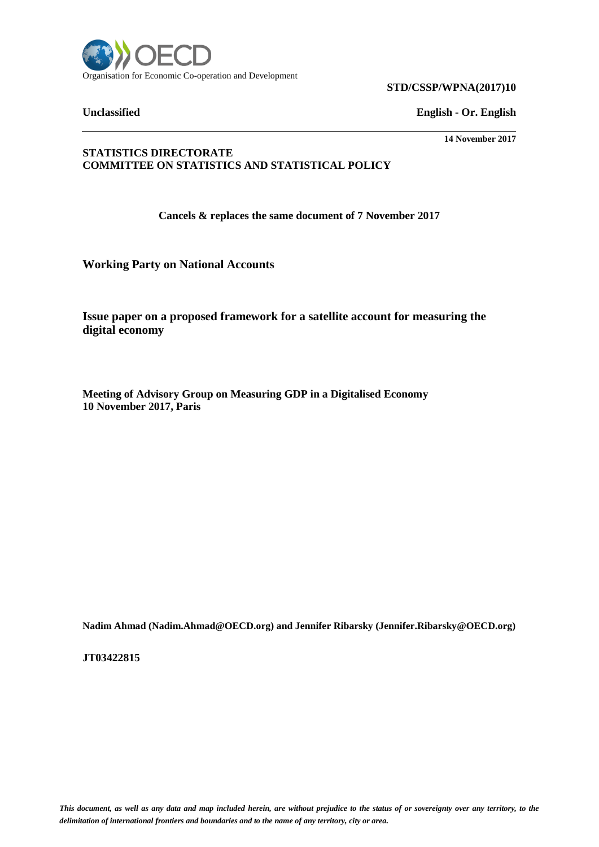

**STD/CSSP/WPNA(2017)10**

**Unclassified English - Or. English**

**14 November 2017**

## **STATISTICS DIRECTORATE COMMITTEE ON STATISTICS AND STATISTICAL POLICY**

**Cancels & replaces the same document of 7 November 2017**

**Working Party on National Accounts**

**Issue paper on a proposed framework for a satellite account for measuring the digital economy**

**Meeting of Advisory Group on Measuring GDP in a Digitalised Economy 10 November 2017, Paris**

**Nadim Ahmad (Nadim.Ahmad@OECD.org) and Jennifer Ribarsky (Jennifer.Ribarsky@OECD.org)**

**JT03422815**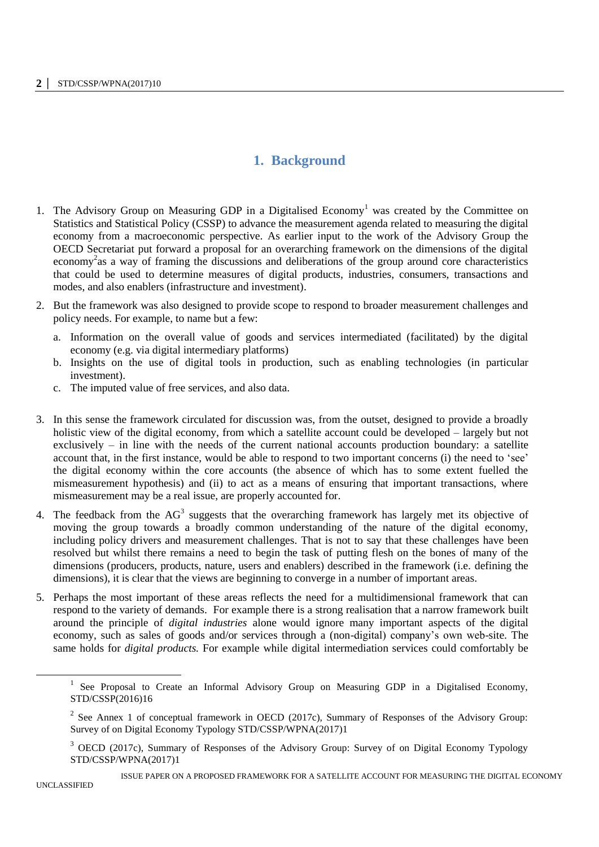# **1. Background**

- 1. The Advisory Group on Measuring GDP in a Digitalised Economy<sup>1</sup> was created by the Committee on Statistics and Statistical Policy (CSSP) to advance the measurement agenda related to measuring the digital economy from a macroeconomic perspective. As earlier input to the work of the Advisory Group the OECD Secretariat put forward a proposal for an overarching framework on the dimensions of the digital economy<sup>2</sup> as a way of framing the discussions and deliberations of the group around core characteristics that could be used to determine measures of digital products, industries, consumers, transactions and modes, and also enablers (infrastructure and investment).
- 2. But the framework was also designed to provide scope to respond to broader measurement challenges and policy needs. For example, to name but a few:
	- a. Information on the overall value of goods and services intermediated (facilitated) by the digital economy (e.g. via digital intermediary platforms)
	- b. Insights on the use of digital tools in production, such as enabling technologies (in particular investment).
	- c. The imputed value of free services, and also data.
- 3. In this sense the framework circulated for discussion was, from the outset, designed to provide a broadly holistic view of the digital economy, from which a satellite account could be developed – largely but not exclusively – in line with the needs of the current national accounts production boundary: a satellite account that, in the first instance, would be able to respond to two important concerns (i) the need to 'see' the digital economy within the core accounts (the absence of which has to some extent fuelled the mismeasurement hypothesis) and (ii) to act as a means of ensuring that important transactions, where mismeasurement may be a real issue, are properly accounted for.
- 4. The feedback from the  $AG<sup>3</sup>$  suggests that the overarching framework has largely met its objective of moving the group towards a broadly common understanding of the nature of the digital economy, including policy drivers and measurement challenges. That is not to say that these challenges have been resolved but whilst there remains a need to begin the task of putting flesh on the bones of many of the dimensions (producers, products, nature, users and enablers) described in the framework (i.e. defining the dimensions), it is clear that the views are beginning to converge in a number of important areas.
- 5. Perhaps the most important of these areas reflects the need for a multidimensional framework that can respond to the variety of demands. For example there is a strong realisation that a narrow framework built around the principle of *digital industries* alone would ignore many important aspects of the digital economy, such as sales of goods and/or services through a (non-digital) company's own web-site. The same holds for *digital products.* For example while digital intermediation services could comfortably be

<sup>&</sup>lt;sup>1</sup> See Proposal to Create an Informal Advisory Group on Measuring GDP in a Digitalised Economy, STD/CSSP(2016)16

<sup>&</sup>lt;sup>2</sup> See Annex 1 of conceptual framework in OECD (2017c), Summary of Responses of the Advisory Group: Survey of on Digital Economy Typology STD/CSSP/WPNA(2017)1

<sup>&</sup>lt;sup>3</sup> OECD (2017c), Summary of Responses of the Advisory Group: Survey of on Digital Economy Typology STD/CSSP/WPNA(2017)1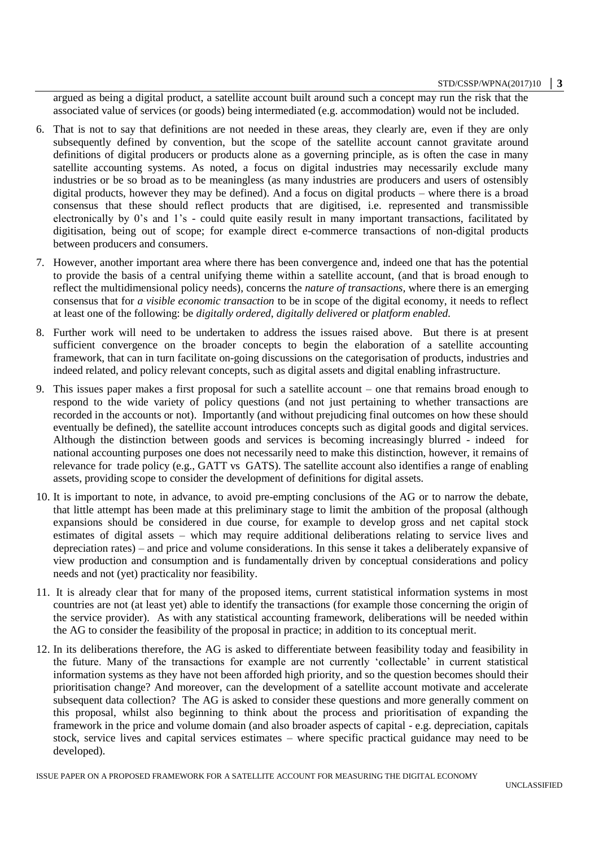#### STD/CSSP/WPNA(2017)10 **│ 3**

argued as being a digital product, a satellite account built around such a concept may run the risk that the associated value of services (or goods) being intermediated (e.g. accommodation) would not be included.

- 6. That is not to say that definitions are not needed in these areas, they clearly are, even if they are only subsequently defined by convention, but the scope of the satellite account cannot gravitate around definitions of digital producers or products alone as a governing principle, as is often the case in many satellite accounting systems. As noted, a focus on digital industries may necessarily exclude many industries or be so broad as to be meaningless (as many industries are producers and users of ostensibly digital products, however they may be defined). And a focus on digital products – where there is a broad consensus that these should reflect products that are digitised, i.e. represented and transmissible electronically by 0's and 1's - could quite easily result in many important transactions, facilitated by digitisation, being out of scope; for example direct e-commerce transactions of non-digital products between producers and consumers.
- 7. However, another important area where there has been convergence and, indeed one that has the potential to provide the basis of a central unifying theme within a satellite account, (and that is broad enough to reflect the multidimensional policy needs), concerns the *nature of transactions,* where there is an emerging consensus that for *a visible economic transaction* to be in scope of the digital economy, it needs to reflect at least one of the following: be *digitally ordered*, *digitally delivered* or *platform enabled.*
- 8. Further work will need to be undertaken to address the issues raised above. But there is at present sufficient convergence on the broader concepts to begin the elaboration of a satellite accounting framework, that can in turn facilitate on-going discussions on the categorisation of products, industries and indeed related, and policy relevant concepts, such as digital assets and digital enabling infrastructure.
- 9. This issues paper makes a first proposal for such a satellite account one that remains broad enough to respond to the wide variety of policy questions (and not just pertaining to whether transactions are recorded in the accounts or not). Importantly (and without prejudicing final outcomes on how these should eventually be defined), the satellite account introduces concepts such as digital goods and digital services. Although the distinction between goods and services is becoming increasingly blurred - indeed for national accounting purposes one does not necessarily need to make this distinction, however, it remains of relevance for trade policy (e.g., GATT vs GATS). The satellite account also identifies a range of enabling assets, providing scope to consider the development of definitions for digital assets.
- 10. It is important to note, in advance, to avoid pre-empting conclusions of the AG or to narrow the debate, that little attempt has been made at this preliminary stage to limit the ambition of the proposal (although expansions should be considered in due course, for example to develop gross and net capital stock estimates of digital assets – which may require additional deliberations relating to service lives and depreciation rates) – and price and volume considerations. In this sense it takes a deliberately expansive of view production and consumption and is fundamentally driven by conceptual considerations and policy needs and not (yet) practicality nor feasibility.
- 11. It is already clear that for many of the proposed items, current statistical information systems in most countries are not (at least yet) able to identify the transactions (for example those concerning the origin of the service provider). As with any statistical accounting framework, deliberations will be needed within the AG to consider the feasibility of the proposal in practice; in addition to its conceptual merit.
- 12. In its deliberations therefore, the AG is asked to differentiate between feasibility today and feasibility in the future. Many of the transactions for example are not currently 'collectable' in current statistical information systems as they have not been afforded high priority, and so the question becomes should their prioritisation change? And moreover, can the development of a satellite account motivate and accelerate subsequent data collection? The AG is asked to consider these questions and more generally comment on this proposal, whilst also beginning to think about the process and prioritisation of expanding the framework in the price and volume domain (and also broader aspects of capital - e.g. depreciation, capitals stock, service lives and capital services estimates – where specific practical guidance may need to be developed).

ISSUE PAPER ON A PROPOSED FRAMEWORK FOR A SATELLITE ACCOUNT FOR MEASURING THE DIGITAL ECONOMY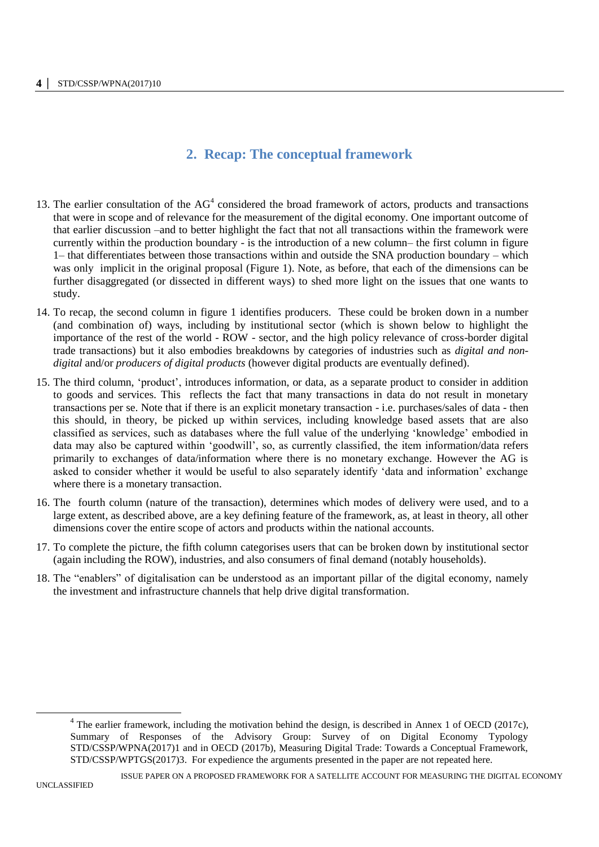# **2. Recap: The conceptual framework**

- 13. The earlier consultation of the  $AG<sup>4</sup>$  considered the broad framework of actors, products and transactions that were in scope and of relevance for the measurement of the digital economy. One important outcome of that earlier discussion –and to better highlight the fact that not all transactions within the framework were currently within the production boundary - is the introduction of a new column– the first column in figure 1– that differentiates between those transactions within and outside the SNA production boundary – which was only implicit in the original proposal (Figure 1). Note, as before, that each of the dimensions can be further disaggregated (or dissected in different ways) to shed more light on the issues that one wants to study.
- 14. To recap, the second column in figure 1 identifies producers. These could be broken down in a number (and combination of) ways, including by institutional sector (which is shown below to highlight the importance of the rest of the world - ROW - sector, and the high policy relevance of cross-border digital trade transactions) but it also embodies breakdowns by categories of industries such as *digital and nondigital* and/or *producers of digital products* (however digital products are eventually defined).
- 15. The third column, 'product', introduces information, or data, as a separate product to consider in addition to goods and services. This reflects the fact that many transactions in data do not result in monetary transactions per se. Note that if there is an explicit monetary transaction - i.e. purchases/sales of data - then this should, in theory, be picked up within services, including knowledge based assets that are also classified as services, such as databases where the full value of the underlying 'knowledge' embodied in data may also be captured within 'goodwill', so, as currently classified, the item information/data refers primarily to exchanges of data/information where there is no monetary exchange. However the AG is asked to consider whether it would be useful to also separately identify 'data and information' exchange where there is a monetary transaction.
- 16. The fourth column (nature of the transaction), determines which modes of delivery were used, and to a large extent, as described above, are a key defining feature of the framework, as, at least in theory, all other dimensions cover the entire scope of actors and products within the national accounts.
- 17. To complete the picture, the fifth column categorises users that can be broken down by institutional sector (again including the ROW), industries, and also consumers of final demand (notably households).
- 18. The "enablers" of digitalisation can be understood as an important pillar of the digital economy, namely the investment and infrastructure channels that help drive digital transformation.

-

 $4$  The earlier framework, including the motivation behind the design, is described in Annex 1 of OECD (2017c), Summary of Responses of the Advisory Group: Survey of on Digital Economy Typology STD/CSSP/WPNA(2017)1 and in OECD (2017b), Measuring Digital Trade: Towards a Conceptual Framework, STD/CSSP/WPTGS(2017)3. For expedience the arguments presented in the paper are not repeated here.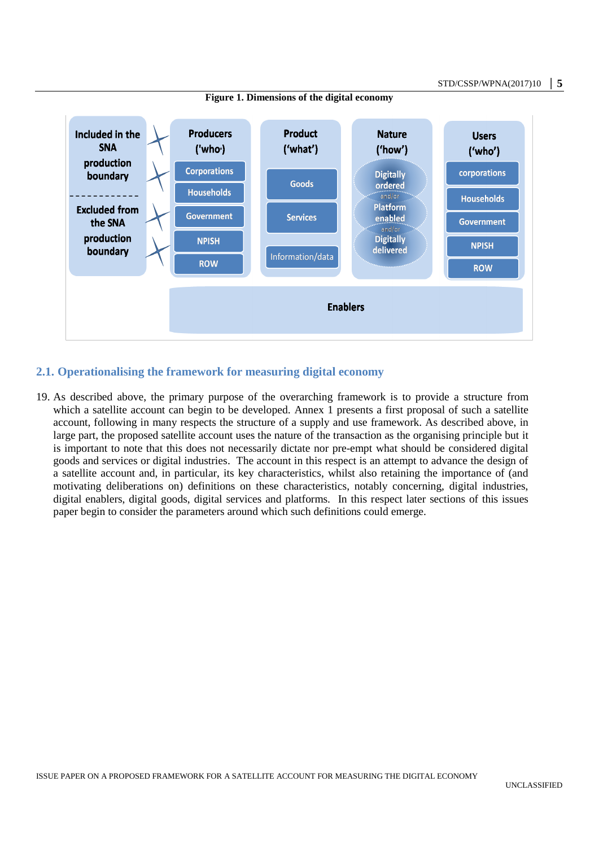

#### **Figure 1. Dimensions of the digital economy**

## **2.1. Operationalising the framework for measuring digital economy**

19. As described above, the primary purpose of the overarching framework is to provide a structure from which a satellite account can begin to be developed. Annex 1 presents a first proposal of such a satellite account, following in many respects the structure of a supply and use framework. As described above, in large part, the proposed satellite account uses the nature of the transaction as the organising principle but it is important to note that this does not necessarily dictate nor pre-empt what should be considered digital goods and services or digital industries. The account in this respect is an attempt to advance the design of a satellite account and, in particular, its key characteristics, whilst also retaining the importance of (and motivating deliberations on) definitions on these characteristics, notably concerning, digital industries, digital enablers, digital goods, digital services and platforms. In this respect later sections of this issues paper begin to consider the parameters around which such definitions could emerge.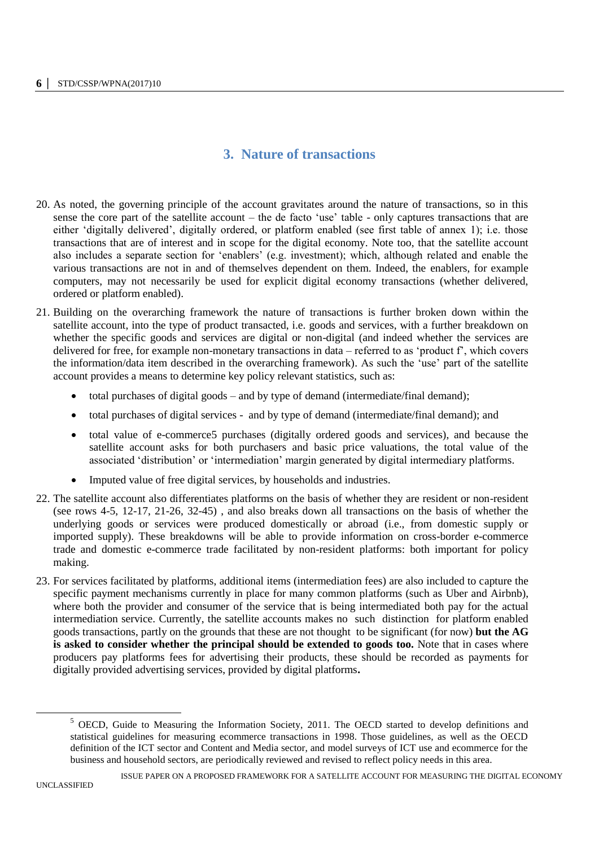# **3. Nature of transactions**

- 20. As noted, the governing principle of the account gravitates around the nature of transactions, so in this sense the core part of the satellite account – the de facto 'use' table - only captures transactions that are either 'digitally delivered', digitally ordered, or platform enabled (see first table of annex 1); i.e. those transactions that are of interest and in scope for the digital economy. Note too, that the satellite account also includes a separate section for 'enablers' (e.g. investment); which, although related and enable the various transactions are not in and of themselves dependent on them. Indeed, the enablers, for example computers, may not necessarily be used for explicit digital economy transactions (whether delivered, ordered or platform enabled).
- 21. Building on the overarching framework the nature of transactions is further broken down within the satellite account, into the type of product transacted, i.e. goods and services, with a further breakdown on whether the specific goods and services are digital or non-digital (and indeed whether the services are delivered for free, for example non-monetary transactions in data – referred to as 'product f', which covers the information/data item described in the overarching framework). As such the 'use' part of the satellite account provides a means to determine key policy relevant statistics, such as:
	- total purchases of digital goods and by type of demand (intermediate/final demand);
	- total purchases of digital services and by type of demand (intermediate/final demand); and
	- total value of e-commerce5 purchases (digitally ordered goods and services), and because the satellite account asks for both purchasers and basic price valuations, the total value of the associated 'distribution' or 'intermediation' margin generated by digital intermediary platforms.
	- Imputed value of free digital services, by households and industries.
- 22. The satellite account also differentiates platforms on the basis of whether they are resident or non-resident (see rows 4-5, 12-17, 21-26, 32-45) , and also breaks down all transactions on the basis of whether the underlying goods or services were produced domestically or abroad (i.e., from domestic supply or imported supply). These breakdowns will be able to provide information on cross-border e-commerce trade and domestic e-commerce trade facilitated by non-resident platforms: both important for policy making.
- 23. For services facilitated by platforms, additional items (intermediation fees) are also included to capture the specific payment mechanisms currently in place for many common platforms (such as Uber and Airbnb), where both the provider and consumer of the service that is being intermediated both pay for the actual intermediation service. Currently, the satellite accounts makes no such distinction for platform enabled goods transactions, partly on the grounds that these are not thought to be significant (for now) **but the AG is asked to consider whether the principal should be extended to goods too.** Note that in cases where producers pay platforms fees for advertising their products, these should be recorded as payments for digitally provided advertising services, provided by digital platforms**.**

-

<sup>&</sup>lt;sup>5</sup> OECD, Guide to Measuring the Information Society, 2011. The OECD started to develop definitions and statistical guidelines for measuring ecommerce transactions in 1998. Those guidelines, as well as the OECD definition of the ICT sector and Content and Media sector, and model surveys of ICT use and ecommerce for the business and household sectors, are periodically reviewed and revised to reflect policy needs in this area.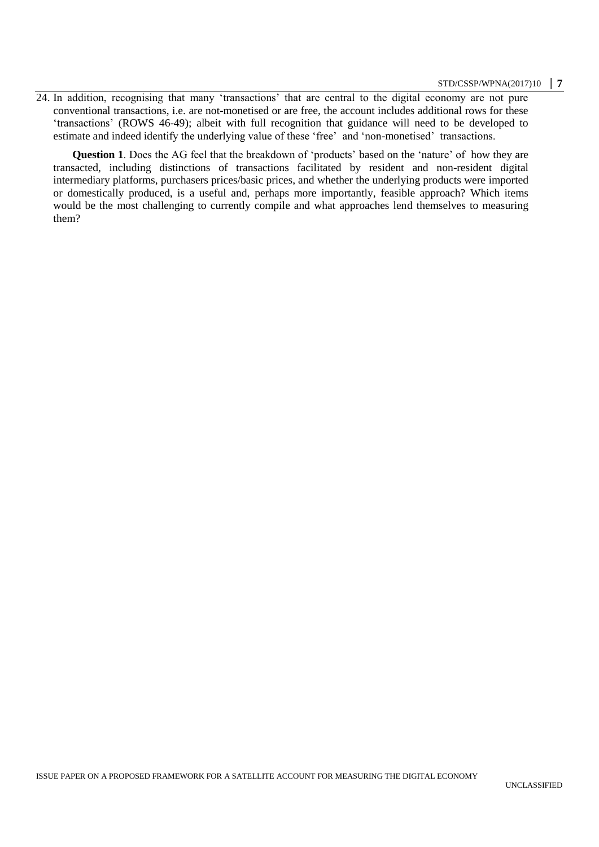24. In addition, recognising that many 'transactions' that are central to the digital economy are not pure conventional transactions, i.e. are not-monetised or are free, the account includes additional rows for these 'transactions' (ROWS 46-49); albeit with full recognition that guidance will need to be developed to estimate and indeed identify the underlying value of these 'free' and 'non-monetised' transactions.

**Question 1**. Does the AG feel that the breakdown of 'products' based on the 'nature' of how they are transacted, including distinctions of transactions facilitated by resident and non-resident digital intermediary platforms, purchasers prices/basic prices, and whether the underlying products were imported or domestically produced, is a useful and, perhaps more importantly, feasible approach? Which items would be the most challenging to currently compile and what approaches lend themselves to measuring them?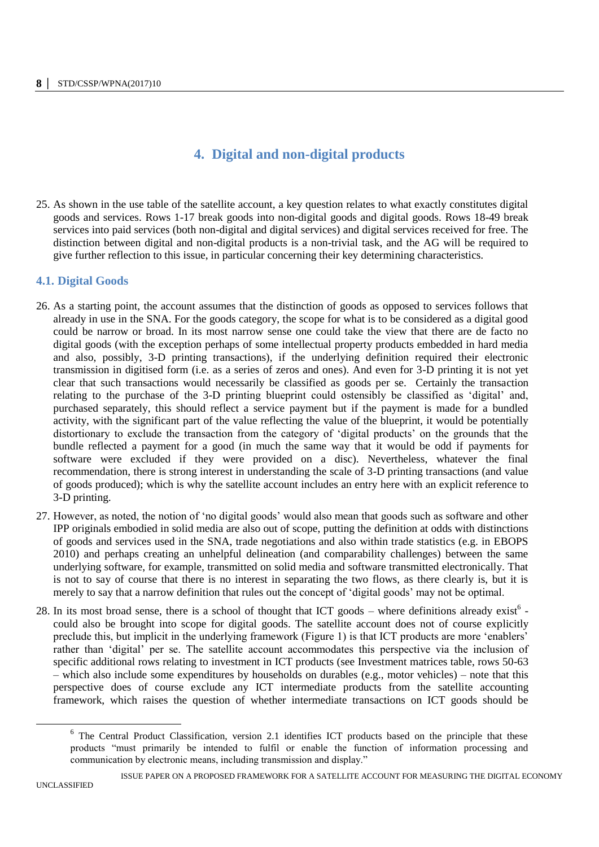# **4. Digital and non-digital products**

25. As shown in the use table of the satellite account, a key question relates to what exactly constitutes digital goods and services. Rows 1-17 break goods into non-digital goods and digital goods. Rows 18-49 break services into paid services (both non-digital and digital services) and digital services received for free. The distinction between digital and non-digital products is a non-trivial task, and the AG will be required to give further reflection to this issue, in particular concerning their key determining characteristics.

## **4.1. Digital Goods**

- 26. As a starting point, the account assumes that the distinction of goods as opposed to services follows that already in use in the SNA. For the goods category, the scope for what is to be considered as a digital good could be narrow or broad. In its most narrow sense one could take the view that there are de facto no digital goods (with the exception perhaps of some intellectual property products embedded in hard media and also, possibly, 3-D printing transactions), if the underlying definition required their electronic transmission in digitised form (i.e. as a series of zeros and ones). And even for 3-D printing it is not yet clear that such transactions would necessarily be classified as goods per se. Certainly the transaction relating to the purchase of the 3-D printing blueprint could ostensibly be classified as 'digital' and, purchased separately, this should reflect a service payment but if the payment is made for a bundled activity, with the significant part of the value reflecting the value of the blueprint, it would be potentially distortionary to exclude the transaction from the category of 'digital products' on the grounds that the bundle reflected a payment for a good (in much the same way that it would be odd if payments for software were excluded if they were provided on a disc). Nevertheless, whatever the final recommendation, there is strong interest in understanding the scale of 3-D printing transactions (and value of goods produced); which is why the satellite account includes an entry here with an explicit reference to 3-D printing.
- 27. However, as noted, the notion of 'no digital goods' would also mean that goods such as software and other IPP originals embodied in solid media are also out of scope, putting the definition at odds with distinctions of goods and services used in the SNA, trade negotiations and also within trade statistics (e.g. in EBOPS 2010) and perhaps creating an unhelpful delineation (and comparability challenges) between the same underlying software, for example, transmitted on solid media and software transmitted electronically. That is not to say of course that there is no interest in separating the two flows, as there clearly is, but it is merely to say that a narrow definition that rules out the concept of 'digital goods' may not be optimal.
- 28. In its most broad sense, there is a school of thought that ICT goods where definitions already exist<sup>6</sup> could also be brought into scope for digital goods. The satellite account does not of course explicitly preclude this, but implicit in the underlying framework (Figure 1) is that ICT products are more 'enablers' rather than 'digital' per se. The satellite account accommodates this perspective via the inclusion of specific additional rows relating to investment in ICT products (see Investment matrices table, rows 50-63 – which also include some expenditures by households on durables (e.g., motor vehicles) – note that this perspective does of course exclude any ICT intermediate products from the satellite accounting framework, which raises the question of whether intermediate transactions on ICT goods should be

<sup>&</sup>lt;sup>6</sup> The Central Product Classification, version 2.1 identifies ICT products based on the principle that these products "must primarily be intended to fulfil or enable the function of information processing and communication by electronic means, including transmission and display."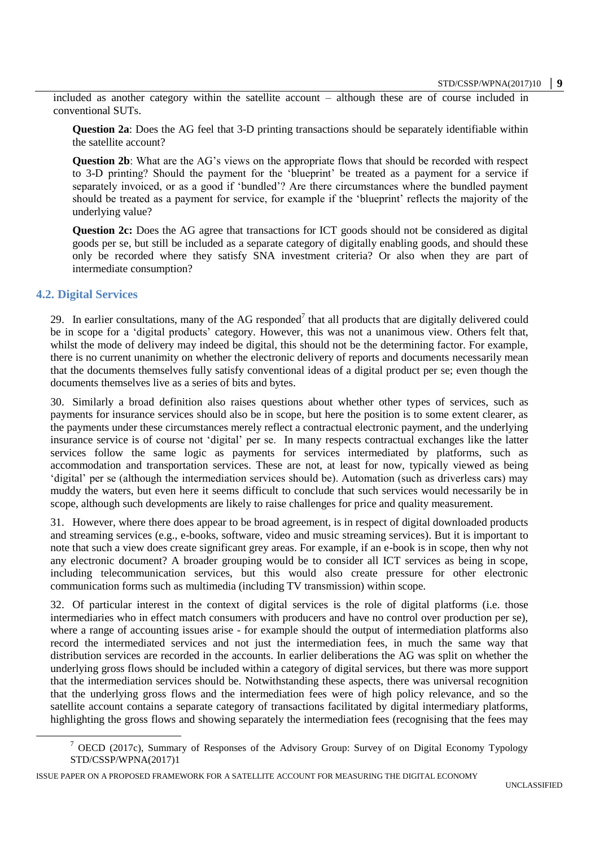included as another category within the satellite account – although these are of course included in conventional SUTs.

**Question 2a**: Does the AG feel that 3-D printing transactions should be separately identifiable within the satellite account?

**Question 2b**: What are the AG's views on the appropriate flows that should be recorded with respect to 3-D printing? Should the payment for the 'blueprint' be treated as a payment for a service if separately invoiced, or as a good if 'bundled'? Are there circumstances where the bundled payment should be treated as a payment for service, for example if the 'blueprint' reflects the majority of the underlying value?

**Question 2c:** Does the AG agree that transactions for ICT goods should not be considered as digital goods per se, but still be included as a separate category of digitally enabling goods, and should these only be recorded where they satisfy SNA investment criteria? Or also when they are part of intermediate consumption?

## **4.2. Digital Services**

-

29. In earlier consultations, many of the AG responded<sup>7</sup> that all products that are digitally delivered could be in scope for a 'digital products' category. However, this was not a unanimous view. Others felt that, whilst the mode of delivery may indeed be digital, this should not be the determining factor. For example, there is no current unanimity on whether the electronic delivery of reports and documents necessarily mean that the documents themselves fully satisfy conventional ideas of a digital product per se; even though the documents themselves live as a series of bits and bytes.

30. Similarly a broad definition also raises questions about whether other types of services, such as payments for insurance services should also be in scope, but here the position is to some extent clearer, as the payments under these circumstances merely reflect a contractual electronic payment, and the underlying insurance service is of course not 'digital' per se. In many respects contractual exchanges like the latter services follow the same logic as payments for services intermediated by platforms, such as accommodation and transportation services. These are not, at least for now, typically viewed as being 'digital' per se (although the intermediation services should be). Automation (such as driverless cars) may muddy the waters, but even here it seems difficult to conclude that such services would necessarily be in scope, although such developments are likely to raise challenges for price and quality measurement.

31. However, where there does appear to be broad agreement, is in respect of digital downloaded products and streaming services (e.g., e-books, software, video and music streaming services). But it is important to note that such a view does create significant grey areas. For example, if an e-book is in scope, then why not any electronic document? A broader grouping would be to consider all ICT services as being in scope, including telecommunication services, but this would also create pressure for other electronic communication forms such as multimedia (including TV transmission) within scope.

32. Of particular interest in the context of digital services is the role of digital platforms (i.e. those intermediaries who in effect match consumers with producers and have no control over production per se), where a range of accounting issues arise - for example should the output of intermediation platforms also record the intermediated services and not just the intermediation fees, in much the same way that distribution services are recorded in the accounts. In earlier deliberations the AG was split on whether the underlying gross flows should be included within a category of digital services, but there was more support that the intermediation services should be. Notwithstanding these aspects, there was universal recognition that the underlying gross flows and the intermediation fees were of high policy relevance, and so the satellite account contains a separate category of transactions facilitated by digital intermediary platforms, highlighting the gross flows and showing separately the intermediation fees (recognising that the fees may

<sup>7</sup> OECD (2017c), Summary of Responses of the Advisory Group: Survey of on Digital Economy Typology STD/CSSP/WPNA(2017)1

ISSUE PAPER ON A PROPOSED FRAMEWORK FOR A SATELLITE ACCOUNT FOR MEASURING THE DIGITAL ECONOMY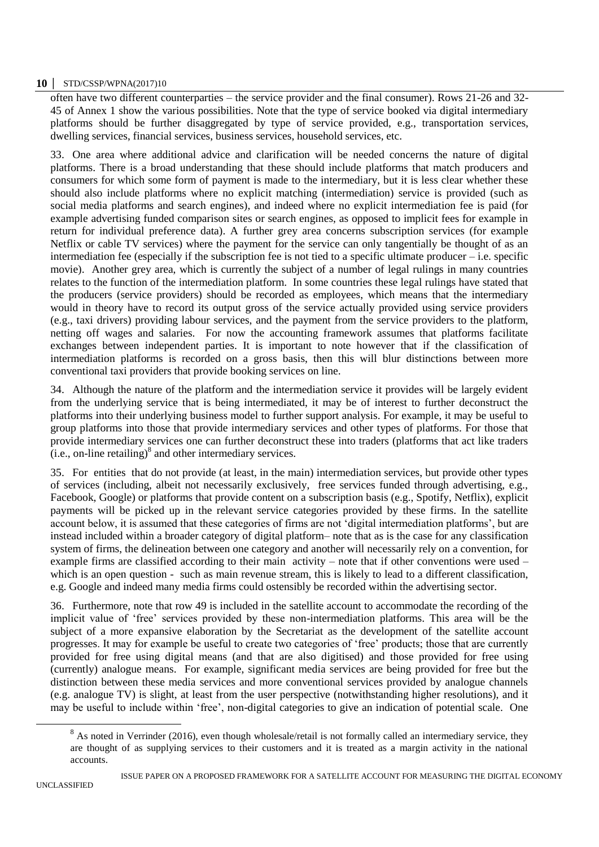### **10 │** STD/CSSP/WPNA(2017)10

often have two different counterparties – the service provider and the final consumer). Rows 21-26 and 32- 45 of Annex 1 show the various possibilities. Note that the type of service booked via digital intermediary platforms should be further disaggregated by type of service provided, e.g., transportation services, dwelling services, financial services, business services, household services, etc.

33. One area where additional advice and clarification will be needed concerns the nature of digital platforms. There is a broad understanding that these should include platforms that match producers and consumers for which some form of payment is made to the intermediary, but it is less clear whether these should also include platforms where no explicit matching (intermediation) service is provided (such as social media platforms and search engines), and indeed where no explicit intermediation fee is paid (for example advertising funded comparison sites or search engines, as opposed to implicit fees for example in return for individual preference data). A further grey area concerns subscription services (for example Netflix or cable TV services) where the payment for the service can only tangentially be thought of as an intermediation fee (especially if the subscription fee is not tied to a specific ultimate producer  $-$  i.e. specific movie). Another grey area, which is currently the subject of a number of legal rulings in many countries relates to the function of the intermediation platform. In some countries these legal rulings have stated that the producers (service providers) should be recorded as employees, which means that the intermediary would in theory have to record its output gross of the service actually provided using service providers (e.g., taxi drivers) providing labour services, and the payment from the service providers to the platform, netting off wages and salaries. For now the accounting framework assumes that platforms facilitate exchanges between independent parties. It is important to note however that if the classification of intermediation platforms is recorded on a gross basis, then this will blur distinctions between more conventional taxi providers that provide booking services on line.

34. Although the nature of the platform and the intermediation service it provides will be largely evident from the underlying service that is being intermediated, it may be of interest to further deconstruct the platforms into their underlying business model to further support analysis. For example, it may be useful to group platforms into those that provide intermediary services and other types of platforms. For those that provide intermediary services one can further deconstruct these into traders (platforms that act like traders  $(i.e.,$  on-line retailing) $^8$  and other intermediary services.

35. For entities that do not provide (at least, in the main) intermediation services, but provide other types of services (including, albeit not necessarily exclusively, free services funded through advertising, e.g., Facebook, Google) or platforms that provide content on a subscription basis (e.g., Spotify, Netflix), explicit payments will be picked up in the relevant service categories provided by these firms. In the satellite account below, it is assumed that these categories of firms are not 'digital intermediation platforms', but are instead included within a broader category of digital platform– note that as is the case for any classification system of firms, the delineation between one category and another will necessarily rely on a convention, for example firms are classified according to their main activity – note that if other conventions were used – which is an open question - such as main revenue stream, this is likely to lead to a different classification, e.g. Google and indeed many media firms could ostensibly be recorded within the advertising sector.

36. Furthermore, note that row 49 is included in the satellite account to accommodate the recording of the implicit value of 'free' services provided by these non-intermediation platforms. This area will be the subject of a more expansive elaboration by the Secretariat as the development of the satellite account progresses. It may for example be useful to create two categories of 'free' products; those that are currently provided for free using digital means (and that are also digitised) and those provided for free using (currently) analogue means. For example, significant media services are being provided for free but the distinction between these media services and more conventional services provided by analogue channels (e.g. analogue TV) is slight, at least from the user perspective (notwithstanding higher resolutions), and it may be useful to include within 'free', non-digital categories to give an indication of potential scale. One

 $8$  As noted in Verrinder (2016), even though wholesale/retail is not formally called an intermediary service, they are thought of as supplying services to their customers and it is treated as a margin activity in the national accounts.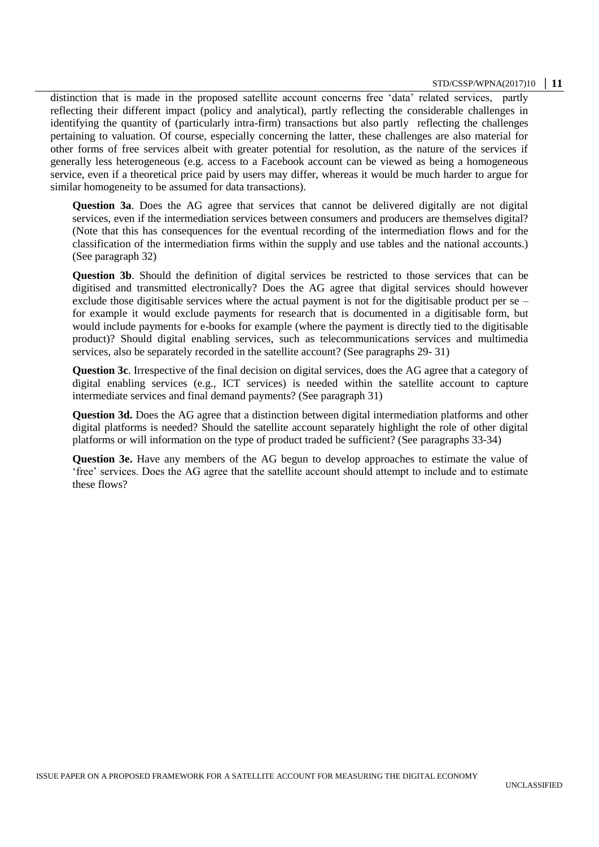#### STD/CSSP/WPNA(2017)10 **│ 11**

distinction that is made in the proposed satellite account concerns free 'data' related services, partly reflecting their different impact (policy and analytical), partly reflecting the considerable challenges in identifying the quantity of (particularly intra-firm) transactions but also partly reflecting the challenges pertaining to valuation. Of course, especially concerning the latter, these challenges are also material for other forms of free services albeit with greater potential for resolution, as the nature of the services if generally less heterogeneous (e.g. access to a Facebook account can be viewed as being a homogeneous service, even if a theoretical price paid by users may differ, whereas it would be much harder to argue for similar homogeneity to be assumed for data transactions).

**Question 3a.** Does the AG agree that services that cannot be delivered digitally are not digital services, even if the intermediation services between consumers and producers are themselves digital? (Note that this has consequences for the eventual recording of the intermediation flows and for the classification of the intermediation firms within the supply and use tables and the national accounts.) (See paragraph 32)

**Question 3b**. Should the definition of digital services be restricted to those services that can be digitised and transmitted electronically? Does the AG agree that digital services should however exclude those digitisable services where the actual payment is not for the digitisable product per se – for example it would exclude payments for research that is documented in a digitisable form, but would include payments for e-books for example (where the payment is directly tied to the digitisable product)? Should digital enabling services, such as telecommunications services and multimedia services, also be separately recorded in the satellite account? (See paragraphs 29- 31)

**Question 3c**. Irrespective of the final decision on digital services, does the AG agree that a category of digital enabling services (e.g., ICT services) is needed within the satellite account to capture intermediate services and final demand payments? (See paragraph 31)

**Question 3d.** Does the AG agree that a distinction between digital intermediation platforms and other digital platforms is needed? Should the satellite account separately highlight the role of other digital platforms or will information on the type of product traded be sufficient? (See paragraphs 33-34)

**Question 3e.** Have any members of the AG begun to develop approaches to estimate the value of 'free' services. Does the AG agree that the satellite account should attempt to include and to estimate these flows?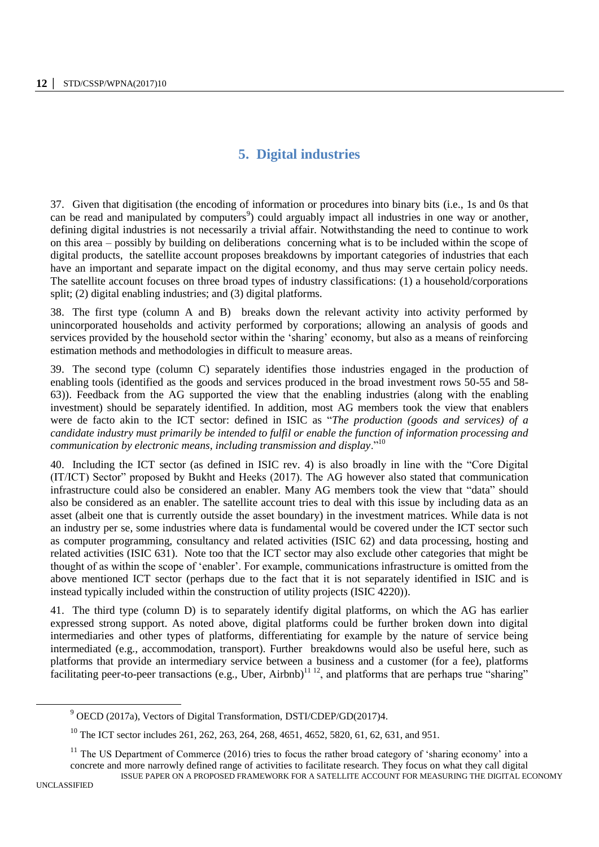# **5. Digital industries**

37. Given that digitisation (the encoding of information or procedures into binary bits (i.e., 1s and 0s that can be read and manipulated by computers<sup>9</sup>) could arguably impact all industries in one way or another, defining digital industries is not necessarily a trivial affair. Notwithstanding the need to continue to work on this area – possibly by building on deliberations concerning what is to be included within the scope of digital products, the satellite account proposes breakdowns by important categories of industries that each have an important and separate impact on the digital economy, and thus may serve certain policy needs. The satellite account focuses on three broad types of industry classifications: (1) a household/corporations split; (2) digital enabling industries; and (3) digital platforms.

38. The first type (column A and B) breaks down the relevant activity into activity performed by unincorporated households and activity performed by corporations; allowing an analysis of goods and services provided by the household sector within the 'sharing' economy, but also as a means of reinforcing estimation methods and methodologies in difficult to measure areas.

39. The second type (column C) separately identifies those industries engaged in the production of enabling tools (identified as the goods and services produced in the broad investment rows 50-55 and 58- 63)). Feedback from the AG supported the view that the enabling industries (along with the enabling investment) should be separately identified. In addition, most AG members took the view that enablers were de facto akin to the ICT sector: defined in ISIC as "*The production (goods and services) of a candidate industry must primarily be intended to fulfil or enable the function of information processing and communication by electronic means, including transmission and display*."<sup>10</sup>

40. Including the ICT sector (as defined in ISIC rev. 4) is also broadly in line with the "Core Digital (IT/ICT) Sector" proposed by Bukht and Heeks (2017). The AG however also stated that communication infrastructure could also be considered an enabler. Many AG members took the view that "data" should also be considered as an enabler. The satellite account tries to deal with this issue by including data as an asset (albeit one that is currently outside the asset boundary) in the investment matrices. While data is not an industry per se, some industries where data is fundamental would be covered under the ICT sector such as computer programming, consultancy and related activities (ISIC 62) and data processing, hosting and related activities (ISIC 631). Note too that the ICT sector may also exclude other categories that might be thought of as within the scope of 'enabler'. For example, communications infrastructure is omitted from the above mentioned ICT sector (perhaps due to the fact that it is not separately identified in ISIC and is instead typically included within the construction of utility projects (ISIC 4220)).

41. The third type (column D) is to separately identify digital platforms, on which the AG has earlier expressed strong support. As noted above, digital platforms could be further broken down into digital intermediaries and other types of platforms, differentiating for example by the nature of service being intermediated (e.g., accommodation, transport). Further breakdowns would also be useful here, such as platforms that provide an intermediary service between a business and a customer (for a fee), platforms facilitating peer-to-peer transactions (e.g., Uber, Airbnb)<sup>11 12</sup>, and platforms that are perhaps true "sharing"

 $9^9$  OECD (2017a), Vectors of Digital Transformation, DSTI/CDEP/GD(2017)4.

<sup>&</sup>lt;sup>10</sup> The ICT sector includes 261, 262, 263, 264, 268, 4651, 4652, 5820, 61, 62, 631, and 951.

ISSUE PAPER ON A PROPOSED FRAMEWORK FOR A SATELLITE ACCOUNT FOR MEASURING THE DIGITAL ECONOMY  $11$  The US Department of Commerce (2016) tries to focus the rather broad category of 'sharing economy' into a concrete and more narrowly defined range of activities to facilitate research. They focus on what they call digital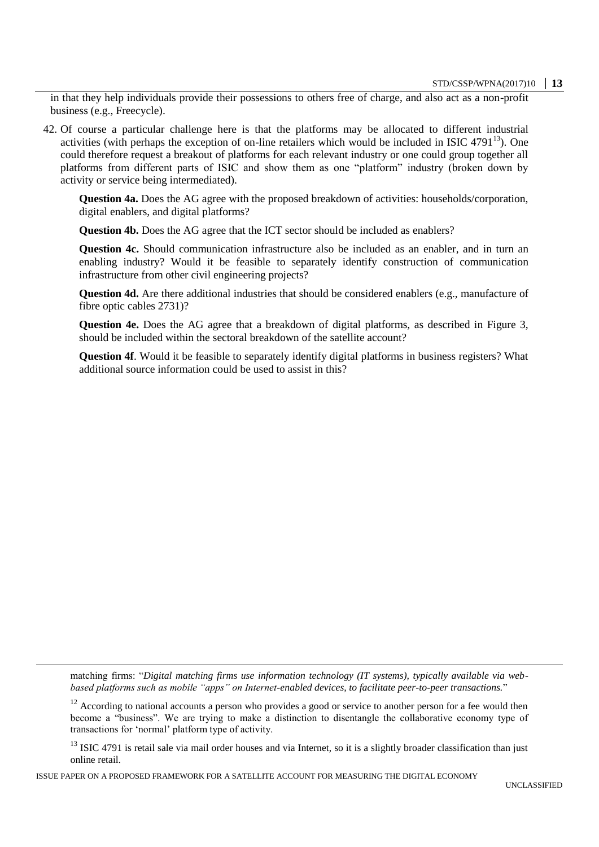in that they help individuals provide their possessions to others free of charge, and also act as a non-profit business (e.g., Freecycle).

42. Of course a particular challenge here is that the platforms may be allocated to different industrial activities (with perhaps the exception of on-line retailers which would be included in ISIC 4791 $^{13}$ ). One could therefore request a breakout of platforms for each relevant industry or one could group together all platforms from different parts of ISIC and show them as one "platform" industry (broken down by activity or service being intermediated).

**Question 4a.** Does the AG agree with the proposed breakdown of activities: households/corporation, digital enablers, and digital platforms?

**Question 4b.** Does the AG agree that the ICT sector should be included as enablers?

**Question 4c.** Should communication infrastructure also be included as an enabler, and in turn an enabling industry? Would it be feasible to separately identify construction of communication infrastructure from other civil engineering projects?

**Question 4d.** Are there additional industries that should be considered enablers (e.g., manufacture of fibre optic cables 2731)?

**Question 4e.** Does the AG agree that a breakdown of digital platforms, as described in Figure 3, should be included within the sectoral breakdown of the satellite account?

**Question 4f**. Would it be feasible to separately identify digital platforms in business registers? What additional source information could be used to assist in this?

matching firms: "*Digital matching firms use information technology (IT systems), typically available via webbased platforms such as mobile "apps" on Internet-enabled devices, to facilitate peer-to-peer transactions.*"

<sup>12</sup> According to national accounts a person who provides a good or service to another person for a fee would then become a "business". We are trying to make a distinction to disentangle the collaborative economy type of transactions for 'normal' platform type of activity.

ISSUE PAPER ON A PROPOSED FRAMEWORK FOR A SATELLITE ACCOUNT FOR MEASURING THE DIGITAL ECONOMY

 $13$  ISIC 4791 is retail sale via mail order houses and via Internet, so it is a slightly broader classification than just online retail.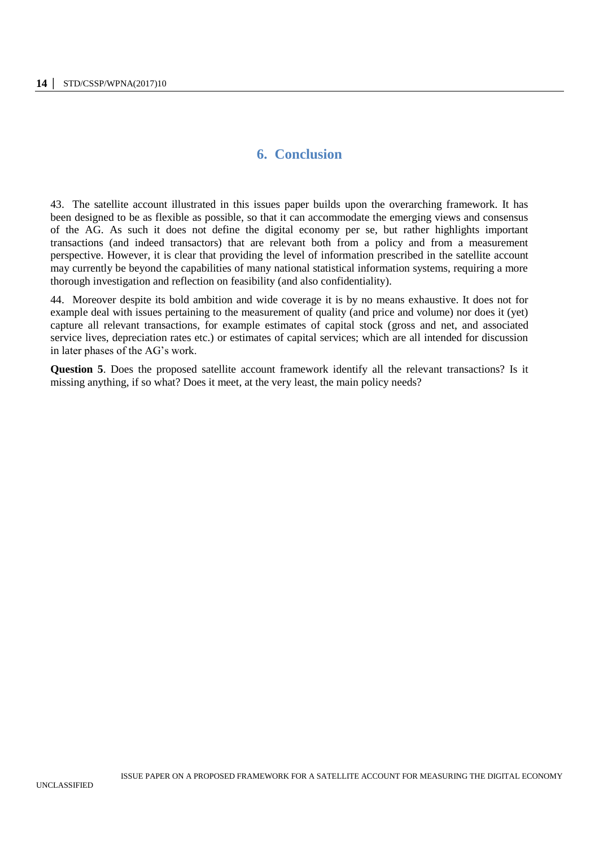# **6. Conclusion**

43. The satellite account illustrated in this issues paper builds upon the overarching framework. It has been designed to be as flexible as possible, so that it can accommodate the emerging views and consensus of the AG. As such it does not define the digital economy per se, but rather highlights important transactions (and indeed transactors) that are relevant both from a policy and from a measurement perspective. However, it is clear that providing the level of information prescribed in the satellite account may currently be beyond the capabilities of many national statistical information systems, requiring a more thorough investigation and reflection on feasibility (and also confidentiality).

44. Moreover despite its bold ambition and wide coverage it is by no means exhaustive. It does not for example deal with issues pertaining to the measurement of quality (and price and volume) nor does it (yet) capture all relevant transactions, for example estimates of capital stock (gross and net, and associated service lives, depreciation rates etc.) or estimates of capital services; which are all intended for discussion in later phases of the AG's work.

**Question 5**. Does the proposed satellite account framework identify all the relevant transactions? Is it missing anything, if so what? Does it meet, at the very least, the main policy needs?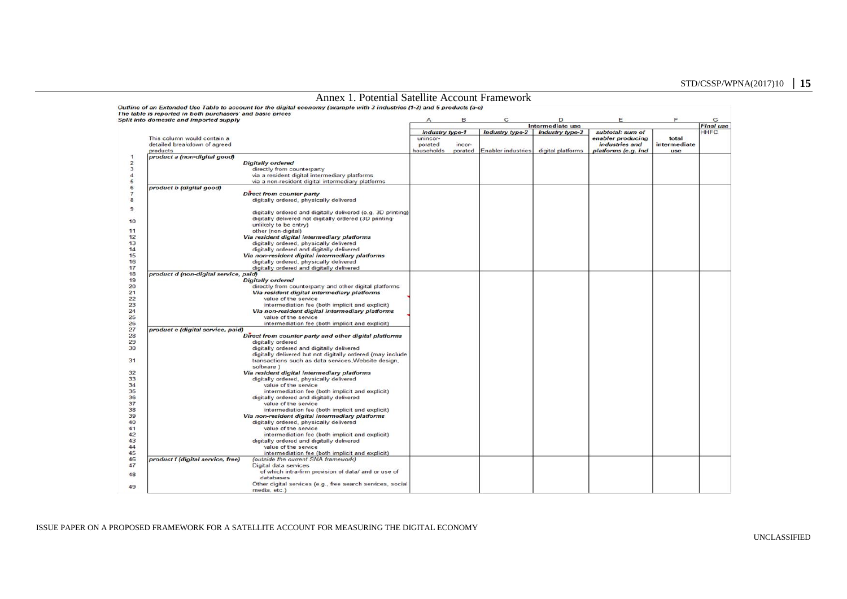|                | Annex 1. Potential Satellite Account Framework                                                                                                                                          |            |                 |                    |                        |                     |              |                  |
|----------------|-----------------------------------------------------------------------------------------------------------------------------------------------------------------------------------------|------------|-----------------|--------------------|------------------------|---------------------|--------------|------------------|
|                | Outline of an Extended Use Table to account for the digital economy (example with 3 industries (1-3) and 5 products (a-e)<br>The table is reported in both purchasers' and basic prices |            |                 |                    |                        |                     |              |                  |
|                | Split into domestic and imported supply                                                                                                                                                 | A          | в               | C                  | D                      | E                   | F            | G                |
|                |                                                                                                                                                                                         |            |                 |                    | Intermediate use       |                     |              | <b>Final use</b> |
|                |                                                                                                                                                                                         |            | Industry type-1 | Industry type-2    | <b>Industry type-3</b> | subtotal: sum of    |              | <b>HHFC</b>      |
|                | This column would contain a                                                                                                                                                             | unincor-   |                 |                    |                        | enabler producing   | total        |                  |
|                | detailed breakdown of agreed                                                                                                                                                            | porated    | incor-          |                    |                        | industries and      | intermediate |                  |
|                | products                                                                                                                                                                                | households | porated         | Enabler industries | digital platforms      | platforms (e.g. ind | use          |                  |
| $\mathbf{1}$   | product a (non-digital good)                                                                                                                                                            |            |                 |                    |                        |                     |              |                  |
| $\overline{2}$ | <b>Digitally ordered</b>                                                                                                                                                                |            |                 |                    |                        |                     |              |                  |
| 3              | directly from counterparty                                                                                                                                                              |            |                 |                    |                        |                     |              |                  |
| $\overline{4}$ | via a resident digital intermediary platforms                                                                                                                                           |            |                 |                    |                        |                     |              |                  |
| 5              | via a non-resident digital intermediary platforms                                                                                                                                       |            |                 |                    |                        |                     |              |                  |
| 6              | product b (digital good)                                                                                                                                                                |            |                 |                    |                        |                     |              |                  |
| $\overline{7}$ | Direct from counter party                                                                                                                                                               |            |                 |                    |                        |                     |              |                  |
| 8              | digitally ordered, physically delivered                                                                                                                                                 |            |                 |                    |                        |                     |              |                  |
|                |                                                                                                                                                                                         |            |                 |                    |                        |                     |              |                  |
| 9              | digitally ordered and digitally delivered (e.g. 3D printing)                                                                                                                            |            |                 |                    |                        |                     |              |                  |
|                |                                                                                                                                                                                         |            |                 |                    |                        |                     |              |                  |
| 10             | digitally delivered not digitally ordered (3D printing-                                                                                                                                 |            |                 |                    |                        |                     |              |                  |
|                | unlikely to be entry)                                                                                                                                                                   |            |                 |                    |                        |                     |              |                  |
| 11             | other (non-digital)                                                                                                                                                                     |            |                 |                    |                        |                     |              |                  |
| 12             | Via resident digital intermediary platforms                                                                                                                                             |            |                 |                    |                        |                     |              |                  |
| 13             | digitally ordered, physically delivered                                                                                                                                                 |            |                 |                    |                        |                     |              |                  |
| 14             | digitally ordered and digitally delivered                                                                                                                                               |            |                 |                    |                        |                     |              |                  |
| 15             | Via non-resident digital intermediary platforms                                                                                                                                         |            |                 |                    |                        |                     |              |                  |
| 16             | digitally ordered, physically delivered                                                                                                                                                 |            |                 |                    |                        |                     |              |                  |
| 17             | digitally ordered and digitally delivered                                                                                                                                               |            |                 |                    |                        |                     |              |                  |
| 18             | product d (non-digital service, paid)                                                                                                                                                   |            |                 |                    |                        |                     |              |                  |
| 19             | <b>Digitally ordered</b>                                                                                                                                                                |            |                 |                    |                        |                     |              |                  |
| 20             | directly from counterparty and other digital platforms                                                                                                                                  |            |                 |                    |                        |                     |              |                  |
| 21             | Via resident digital intermediary platforms                                                                                                                                             |            |                 |                    |                        |                     |              |                  |
| 22             | value of the service                                                                                                                                                                    |            |                 |                    |                        |                     |              |                  |
| 23             | intermediation fee (both implicit and explicit)                                                                                                                                         |            |                 |                    |                        |                     |              |                  |
| 24             | Via non-resident digital intermediary platforms                                                                                                                                         |            |                 |                    |                        |                     |              |                  |
| 25             | value of the service                                                                                                                                                                    |            |                 |                    |                        |                     |              |                  |
| 26             | intermediation fee (both implicit and explicit)                                                                                                                                         |            |                 |                    |                        |                     |              |                  |
| 27             | product e (digital service, paid)                                                                                                                                                       |            |                 |                    |                        |                     |              |                  |
| 28             | Direct from counter party and other digital platforms                                                                                                                                   |            |                 |                    |                        |                     |              |                  |
| 29             | digitally ordered                                                                                                                                                                       |            |                 |                    |                        |                     |              |                  |
| 30             | digitally ordered and digitally delivered                                                                                                                                               |            |                 |                    |                        |                     |              |                  |
|                | digitally delivered but not digitally ordered (may include                                                                                                                              |            |                 |                    |                        |                     |              |                  |
| 31             | transactions such as data services, Website design,                                                                                                                                     |            |                 |                    |                        |                     |              |                  |
|                | software)                                                                                                                                                                               |            |                 |                    |                        |                     |              |                  |
|                | Via resident digital intermediary platforms                                                                                                                                             |            |                 |                    |                        |                     |              |                  |
| 32             |                                                                                                                                                                                         |            |                 |                    |                        |                     |              |                  |
| 33             | digitally ordered, physically delivered                                                                                                                                                 |            |                 |                    |                        |                     |              |                  |
| 34             | value of the service                                                                                                                                                                    |            |                 |                    |                        |                     |              |                  |
| 35             | intermediation fee (both implicit and explicit)                                                                                                                                         |            |                 |                    |                        |                     |              |                  |
| 36             | digitally ordered and digitally delivered                                                                                                                                               |            |                 |                    |                        |                     |              |                  |
| 37             | value of the service                                                                                                                                                                    |            |                 |                    |                        |                     |              |                  |
| 38             | intermediation fee (both implicit and explicit)                                                                                                                                         |            |                 |                    |                        |                     |              |                  |
| 39             | Via non-resident digital intermediary platforms                                                                                                                                         |            |                 |                    |                        |                     |              |                  |
| 40             | digitally ordered, physically delivered                                                                                                                                                 |            |                 |                    |                        |                     |              |                  |
| 41             | value of the service                                                                                                                                                                    |            |                 |                    |                        |                     |              |                  |
| 42             | intermediation fee (both implicit and explicit)                                                                                                                                         |            |                 |                    |                        |                     |              |                  |
| 43             | digitally ordered and digitally delivered                                                                                                                                               |            |                 |                    |                        |                     |              |                  |
| 44             | value of the service                                                                                                                                                                    |            |                 |                    |                        |                     |              |                  |
| 45             | intermediation fee (both implicit and explicit)                                                                                                                                         |            |                 |                    |                        |                     |              |                  |
| 46             | product f (digital service, free)<br>(outside the current SNA framework)                                                                                                                |            |                 |                    |                        |                     |              |                  |
| 47             | Digital data services                                                                                                                                                                   |            |                 |                    |                        |                     |              |                  |
|                | of which intra-firm provision of data/ and or use of                                                                                                                                    |            |                 |                    |                        |                     |              |                  |
| 48             | databases                                                                                                                                                                               |            |                 |                    |                        |                     |              |                  |
| 49             | Other digital services (e.g., free search services, social                                                                                                                              |            |                 |                    |                        |                     |              |                  |
|                | media, etc.)                                                                                                                                                                            |            |                 |                    |                        |                     |              |                  |

#### ISSUE PAPER ON A PROPOSED FRAMEWORK FOR A SATELLITE ACCOUNT FOR MEASURING THE DIGITAL ECONOMY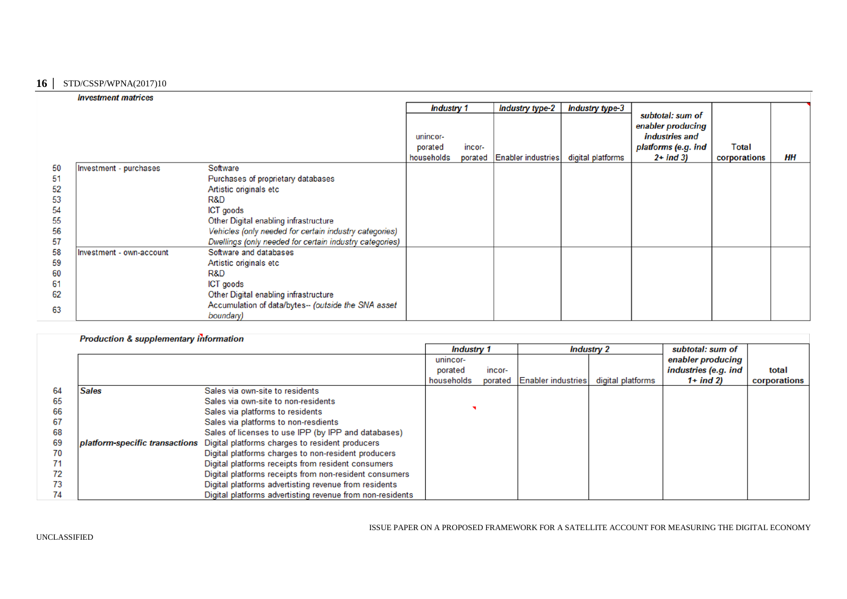#### **16 │** STD/CSSP/WPNA(2017)10

|    | <b>Investment matrices</b> |                                                         |                   |        |                            |                   |                                                         |              |    |
|----|----------------------------|---------------------------------------------------------|-------------------|--------|----------------------------|-------------------|---------------------------------------------------------|--------------|----|
|    |                            |                                                         | <b>Industry 1</b> |        | <b>Industry type-2</b>     | Industry type-3   |                                                         |              |    |
|    |                            |                                                         | unincor-          |        |                            |                   | subtotal: sum of<br>enabler producing<br>industries and |              |    |
|    |                            |                                                         | porated           | incor- |                            |                   | platforms (e.g. ind                                     | <b>Total</b> |    |
|    |                            |                                                         | households        |        | porated Enabler industries | digital platforms | $2+$ ind 3)                                             | corporations | HН |
| 50 | Investment - purchases     | Software                                                |                   |        |                            |                   |                                                         |              |    |
| 51 |                            | Purchases of proprietary databases                      |                   |        |                            |                   |                                                         |              |    |
| 52 |                            | Artistic originals etc                                  |                   |        |                            |                   |                                                         |              |    |
| 53 |                            | R&D                                                     |                   |        |                            |                   |                                                         |              |    |
| 54 |                            | ICT goods                                               |                   |        |                            |                   |                                                         |              |    |
| 55 |                            | Other Digital enabling infrastructure                   |                   |        |                            |                   |                                                         |              |    |
| 56 |                            | Vehicles (only needed for certain industry categories)  |                   |        |                            |                   |                                                         |              |    |
| 57 |                            | Dwellings (only needed for certain industry categories) |                   |        |                            |                   |                                                         |              |    |
| 58 | Investment - own-account   | Software and databases                                  |                   |        |                            |                   |                                                         |              |    |
| 59 |                            | Artistic originals etc                                  |                   |        |                            |                   |                                                         |              |    |
| 60 |                            | R&D                                                     |                   |        |                            |                   |                                                         |              |    |
| 61 |                            | <b>ICT</b> goods                                        |                   |        |                            |                   |                                                         |              |    |
| 62 |                            | Other Digital enabling infrastructure                   |                   |        |                            |                   |                                                         |              |    |
| 63 |                            | Accumulation of data/bytes-- (outside the SNA asset     |                   |        |                            |                   |                                                         |              |    |
|    |                            | boundary)                                               |                   |        |                            |                   |                                                         |              |    |

## Production & supplementary information

|    |                                |                                                           | <b>Industry 1</b> |         | <b>Industry 2</b>  |                   | subtotal: sum of     |              |
|----|--------------------------------|-----------------------------------------------------------|-------------------|---------|--------------------|-------------------|----------------------|--------------|
|    |                                |                                                           | unincor-          |         |                    |                   | enabler producing    |              |
|    |                                |                                                           | porated           | incor-  |                    |                   | industries (e.g. ind | total        |
|    |                                |                                                           | households        | porated | Enabler industries | digital platforms | $1+$ ind 2)          | corporations |
| 64 | <b>Sales</b>                   | Sales via own-site to residents                           |                   |         |                    |                   |                      |              |
| 65 |                                | Sales via own-site to non-residents                       |                   |         |                    |                   |                      |              |
| 66 |                                | Sales via platforms to residents                          |                   |         |                    |                   |                      |              |
| 67 |                                | Sales via platforms to non-resdients                      |                   |         |                    |                   |                      |              |
| 68 |                                | Sales of licenses to use IPP (by IPP and databases)       |                   |         |                    |                   |                      |              |
| 69 | platform-specific transactions | Digital platforms charges to resident producers           |                   |         |                    |                   |                      |              |
| 70 |                                | Digital platforms charges to non-resident producers       |                   |         |                    |                   |                      |              |
| 71 |                                | Digital platforms receipts from resident consumers        |                   |         |                    |                   |                      |              |
| 72 |                                | Digital platforms receipts from non-resident consumers    |                   |         |                    |                   |                      |              |
| 73 |                                | Digital platforms advertisting revenue from residents     |                   |         |                    |                   |                      |              |
| 74 |                                | Digital platforms advertisting revenue from non-residents |                   |         |                    |                   |                      |              |